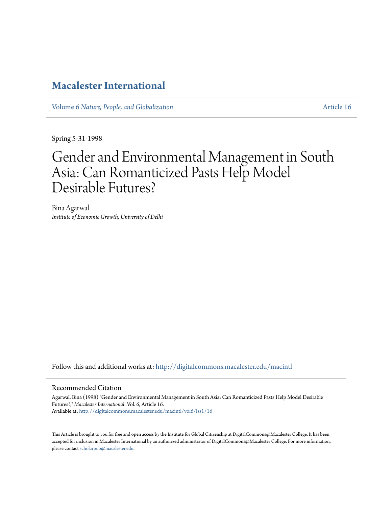# **[Macalester International](http://digitalcommons.macalester.edu/macintl?utm_source=digitalcommons.macalester.edu%2Fmacintl%2Fvol6%2Fiss1%2F16&utm_medium=PDF&utm_campaign=PDFCoverPages)**

Volume 6 *[Nature, People, and Globalization](http://digitalcommons.macalester.edu/macintl/vol6?utm_source=digitalcommons.macalester.edu%2Fmacintl%2Fvol6%2Fiss1%2F16&utm_medium=PDF&utm_campaign=PDFCoverPages)* [Article 16](http://digitalcommons.macalester.edu/macintl/vol6/iss1/16?utm_source=digitalcommons.macalester.edu%2Fmacintl%2Fvol6%2Fiss1%2F16&utm_medium=PDF&utm_campaign=PDFCoverPages)

Spring 5-31-1998

# Gender and Environmental Management in South Asia: Can Romanticized Pasts Help Model Desirable Futures?

Bina Agarwal *Institute of Economic Growth, University of Delhi*

Follow this and additional works at: [http://digitalcommons.macalester.edu/macintl](http://digitalcommons.macalester.edu/macintl?utm_source=digitalcommons.macalester.edu%2Fmacintl%2Fvol6%2Fiss1%2F16&utm_medium=PDF&utm_campaign=PDFCoverPages)

## Recommended Citation

Agarwal, Bina (1998) "Gender and Environmental Management in South Asia: Can Romanticized Pasts Help Model Desirable Futures?," *Macalester International*: Vol. 6, Article 16. Available at: [http://digitalcommons.macalester.edu/macintl/vol6/iss1/16](http://digitalcommons.macalester.edu/macintl/vol6/iss1/16?utm_source=digitalcommons.macalester.edu%2Fmacintl%2Fvol6%2Fiss1%2F16&utm_medium=PDF&utm_campaign=PDFCoverPages)

This Article is brought to you for free and open access by the Institute for Global Citizenship at DigitalCommons@Macalester College. It has been accepted for inclusion in Macalester International by an authorized administrator of DigitalCommons@Macalester College. For more information, please contact [scholarpub@macalester.edu.](mailto:scholarpub@macalester.edu)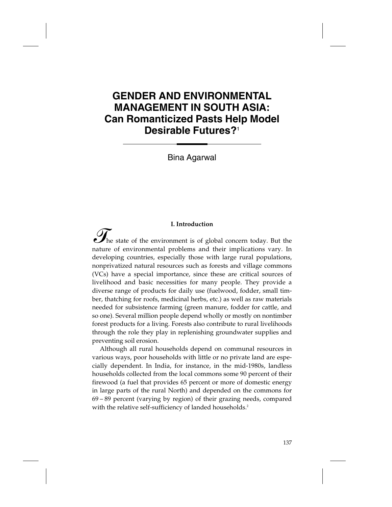# **GENDER AND ENVIRONMENTAL MANAGEMENT IN SOUTH ASIA: Can Romanticized Pasts Help Model Desirable Futures?**<sup>1</sup>

Bina Agarwal

#### **I. Introduction**

The state of the environment is of global concern today. But the nature of environmental problems and their implications vary. In developing countries, especially those with large rural populations, nonprivatized natural resources such as forests and village commons (VCs) have a special importance, since these are critical sources of livelihood and basic necessities for many people. They provide a diverse range of products for daily use (fuelwood, fodder, small timber, thatching for roofs, medicinal herbs, etc.) as well as raw materials needed for subsistence farming (green manure, fodder for cattle, and so one). Several million people depend wholly or mostly on nontimber forest products for a living. Forests also contribute to rural livelihoods through the role they play in replenishing groundwater supplies and preventing soil erosion.

Although all rural households depend on communal resources in various ways, poor households with little or no private land are especially dependent. In India, for instance, in the mid-1980s, landless households collected from the local commons some 90 percent of their firewood (a fuel that provides 65 percent or more of domestic energy in large parts of the rural North) and depended on the commons for 69 – 89 percent (varying by region) of their grazing needs, compared with the relative self-sufficiency of landed households.<sup>2</sup>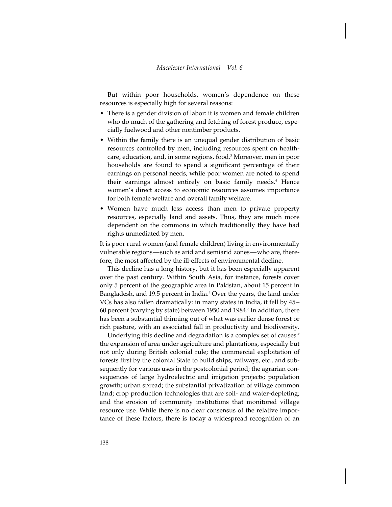But within poor households, women's dependence on these resources is especially high for several reasons:

- There is a gender division of labor: it is women and female children who do much of the gathering and fetching of forest produce, especially fuelwood and other nontimber products.
- Within the family there is an unequal gender distribution of basic resources controlled by men, including resources spent on healthcare, education, and, in some regions, food.3 Moreover, men in poor households are found to spend a significant percentage of their earnings on personal needs, while poor women are noted to spend their earnings almost entirely on basic family needs.4 Hence women's direct access to economic resources assumes importance for both female welfare and overall family welfare.
- Women have much less access than men to private property resources, especially land and assets. Thus, they are much more dependent on the commons in which traditionally they have had rights unmediated by men.

It is poor rural women (and female children) living in environmentally vulnerable regions—such as arid and semiarid zones—who are, therefore, the most affected by the ill-effects of environmental decline.

This decline has a long history, but it has been especially apparent over the past century. Within South Asia, for instance, forests cover only 5 percent of the geographic area in Pakistan, about 15 percent in Bangladesh, and 19.5 percent in India.<sup>5</sup> Over the years, the land under VCs has also fallen dramatically: in many states in India, it fell by 45 – 60 percent (varying by state) between 1950 and 1984.<sup>6</sup> In addition, there has been a substantial thinning out of what was earlier dense forest or rich pasture, with an associated fall in productivity and biodiversity.

Underlying this decline and degradation is a complex set of causes:<sup>7</sup> the expansion of area under agriculture and plantations, especially but not only during British colonial rule; the commercial exploitation of forests first by the colonial State to build ships, railways, etc., and subsequently for various uses in the postcolonial period; the agrarian consequences of large hydroelectric and irrigation projects; population growth; urban spread; the substantial privatization of village common land; crop production technologies that are soil- and water-depleting; and the erosion of community institutions that monitored village resource use. While there is no clear consensus of the relative importance of these factors, there is today a widespread recognition of an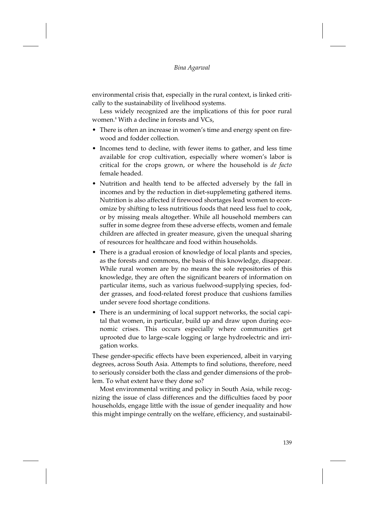environmental crisis that, especially in the rural context, is linked critically to the sustainability of livelihood systems.

Less widely recognized are the implications of this for poor rural women.8 With a decline in forests and VCs,

- There is often an increase in women's time and energy spent on firewood and fodder collection.
- Incomes tend to decline, with fewer items to gather, and less time available for crop cultivation, especially where women's labor is critical for the crops grown, or where the household is *de facto* female headed.
- Nutrition and health tend to be affected adversely by the fall in incomes and by the reduction in diet-supplemeting gathered items. Nutrition is also affected if firewood shortages lead women to economize by shifting to less nutritious foods that need less fuel to cook, or by missing meals altogether. While all household members can suffer in some degree from these adverse effects, women and female children are affected in greater measure, given the unequal sharing of resources for healthcare and food within households.
- There is a gradual erosion of knowledge of local plants and species, as the forests and commons, the basis of this knowledge, disappear. While rural women are by no means the sole repositories of this knowledge, they are often the significant bearers of information on particular items, such as various fuelwood-supplying species, fodder grasses, and food-related forest produce that cushions families under severe food shortage conditions.
- There is an undermining of local support networks, the social capital that women, in particular, build up and draw upon during economic crises. This occurs especially where communities get uprooted due to large-scale logging or large hydroelectric and irrigation works.

These gender-specific effects have been experienced, albeit in varying degrees, across South Asia. Attempts to find solutions, therefore, need to seriously consider both the class and gender dimensions of the problem. To what extent have they done so?

Most environmental writing and policy in South Asia, while recognizing the issue of class differences and the difficulties faced by poor households, engage little with the issue of gender inequality and how this might impinge centrally on the welfare, efficiency, and sustainabil-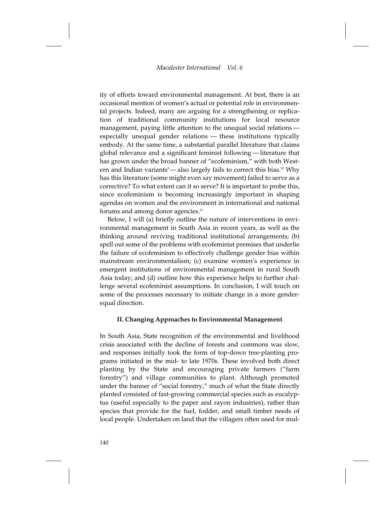ity of efforts toward environmental management. At best, there is an occasional mention of women's actual or potential role in environmental projects. Indeed, many are arguing for a strengthening or replication of traditional community institutions for local resource management, paying little attention to the unequal social relations especially unequal gender relations — these institutions typically embody. At the same time, a substantial parallel literature that claims global relevance and a significant feminist following — literature that has grown under the broad banner of "ecofeminism," with both Western and Indian variants<sup>9</sup>— also largely fails to correct this bias.<sup>10</sup> Why has this literature (some might even say movement) failed to serve as a corrective? To what extent can it so serve? It is important to probe this, since ecofeminism is becoming increasingly important in shaping agendas on women and the environment in international and national forums and among donor agencies.<sup>11</sup>

Below, I will (a) briefly outline the nature of interventions in environmental management in South Asia in recent years, as well as the thinking around reviving traditional institutional arrangements; (b) spell out some of the problems with ecofeminist premises that underlie the failure of ecofeminism to effectively challenge gender bias within mainstream environmentalism; (c) examine women's experience in emergent institutions of environmental management in rural South Asia today; and (d) outline how this experience helps to further challenge several ecofeminist assumptions. In conclusion, I will touch on some of the processes necessary to initiate change in a more genderequal direction.

# **II. Changing Approaches to Environmental Management**

In South Asia, State recognition of the environmental and livelihood crisis associated with the decline of forests and commons was slow, and responses initially took the form of top-down tree-planting programs initiated in the mid- to late 1970s. These involved both direct planting by the State and encouraging private farmers ("farm forestry") and village communities to plant. Although promoted under the banner of "social forestry," much of what the State directly planted consisted of fast-growing commercial species such as eucalyptus (useful especially to the paper and rayon industries), rather than species that provide for the fuel, fodder, and small timber needs of local people. Undertaken on land that the villagers often used for mul-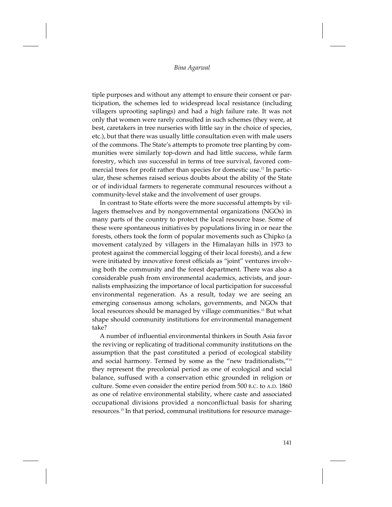tiple purposes and without any attempt to ensure their consent or participation, the schemes led to widespread local resistance (including villagers uprooting saplings) and had a high failure rate. It was not only that women were rarely consulted in such schemes (they were, at best, caretakers in tree nurseries with little say in the choice of species, etc.), but that there was usually little consultation even with male users of the commons. The State's attempts to promote tree planting by communities were similarly top-down and had little success, while farm forestry, which *was* successful in terms of tree survival, favored commercial trees for profit rather than species for domestic use.12 In particular, these schemes raised serious doubts about the ability of the State or of individual farmers to regenerate communal resources without a community-level stake and the involvement of user groups.

In contrast to State efforts were the more successful attempts by villagers themselves and by nongovernmental organizations (NGOs) in many parts of the country to protect the local resource base. Some of these were spontaneous initiatives by populations living in or near the forests, others took the form of popular movements such as Chipko (a movement catalyzed by villagers in the Himalayan hills in 1973 to protest against the commercial logging of their local forests), and a few were initiated by innovative forest officials as "joint" ventures involving both the community and the forest department. There was also a considerable push from environmental academics, activists, and journalists emphasizing the importance of local participation for successful environmental regeneration. As a result, today we are seeing an emerging consensus among scholars, governments, and NGOs that local resources should be managed by village communities.<sup>13</sup> But what shape should community institutions for environmental management take?

A number of influential environmental thinkers in South Asia favor the reviving or replicating of traditional community institutions on the assumption that the past constituted a period of ecological stability and social harmony. Termed by some as the "new traditionalists,"14 they represent the precolonial period as one of ecological and social balance, suffused with a conservation ethic grounded in religion or culture. Some even consider the entire period from 500 B.C. to A.D. 1860 as one of relative environmental stability, where caste and associated occupational divisions provided a nonconflictual basis for sharing resources.15 In that period, communal institutions for resource manage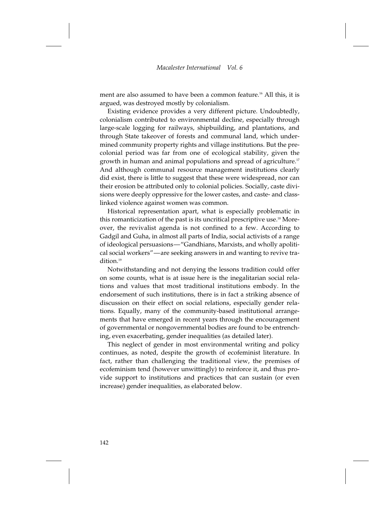ment are also assumed to have been a common feature.<sup>16</sup> All this, it is argued, was destroyed mostly by colonialism.

Existing evidence provides a very different picture. Undoubtedly, colonialism contributed to environmental decline, especially through large-scale logging for railways, shipbuilding, and plantations, and through State takeover of forests and communal land, which undermined community property rights and village institutions. But the precolonial period was far from one of ecological stability, given the growth in human and animal populations and spread of agriculture.<sup>17</sup> And although communal resource management institutions clearly did exist, there is little to suggest that these were widespread, nor can their erosion be attributed only to colonial policies. Socially, caste divisions were deeply oppressive for the lower castes, and caste- and classlinked violence against women was common.

Historical representation apart, what is especially problematic in this romanticization of the past is its uncritical prescriptive use.18 Moreover, the revivalist agenda is not confined to a few. According to Gadgil and Guha, in almost all parts of India, social activists of a range of ideological persuasions—"Gandhians, Marxists, and wholly apolitical social workers"—are seeking answers in and wanting to revive tra- $\text{dition}$ <sup>19</sup>

Notwithstanding and not denying the lessons tradition could offer on some counts, what is at issue here is the inegalitarian social relations and values that most traditional institutions embody. In the endorsement of such institutions, there is in fact a striking absence of discussion on their effect on social relations, especially gender relations. Equally, many of the community-based institutional arrangements that have emerged in recent years through the encouragement of governmental or nongovernmental bodies are found to be entrenching, even exacerbating, gender inequalities (as detailed later).

This neglect of gender in most environmental writing and policy continues, as noted, despite the growth of ecofeminist literature. In fact, rather than challenging the traditional view, the premises of ecofeminism tend (however unwittingly) to reinforce it, and thus provide support to institutions and practices that can sustain (or even increase) gender inequalities, as elaborated below.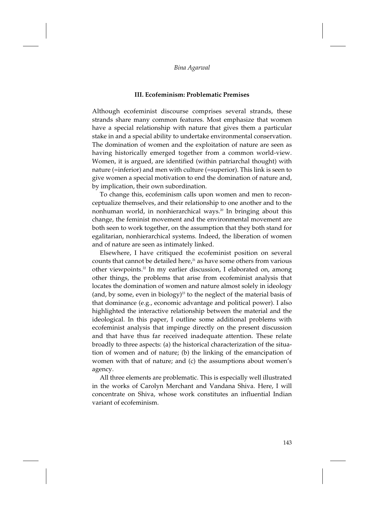#### **III. Ecofeminism: Problematic Premises**

Although ecofeminist discourse comprises several strands, these strands share many common features. Most emphasize that women have a special relationship with nature that gives them a particular stake in and a special ability to undertake environmental conservation. The domination of women and the exploitation of nature are seen as having historically emerged together from a common world-view. Women, it is argued, are identified (within patriarchal thought) with nature (=inferior) and men with culture (=superior). This link is seen to give women a special motivation to end the domination of nature and, by implication, their own subordination.

To change this, ecofeminism calls upon women and men to reconceptualize themselves, and their relationship to one another and to the nonhuman world, in nonhierarchical ways.<sup>20</sup> In bringing about this change, the feminist movement and the environmental movement are both seen to work together, on the assumption that they both stand for egalitarian, nonhierarchical systems. Indeed, the liberation of women and of nature are seen as intimately linked.

Elsewhere, I have critiqued the ecofeminist position on several counts that cannot be detailed here, $21$  as have some others from various other viewpoints.<sup>22</sup> In my earlier discussion, I elaborated on, among other things, the problems that arise from ecofeminist analysis that locates the domination of women and nature almost solely in ideology (and, by some, even in biology)<sup>23</sup> to the neglect of the material basis of that dominance (e.g., economic advantage and political power). I also highlighted the interactive relationship between the material and the ideological. In this paper, I outline some additional problems with ecofeminist analysis that impinge directly on the present discussion and that have thus far received inadequate attention. These relate broadly to three aspects: (a) the historical characterization of the situation of women and of nature; (b) the linking of the emancipation of women with that of nature; and (c) the assumptions about women's agency.

All three elements are problematic. This is especially well illustrated in the works of Carolyn Merchant and Vandana Shiva. Here, I will concentrate on Shiva, whose work constitutes an influential Indian variant of ecofeminism.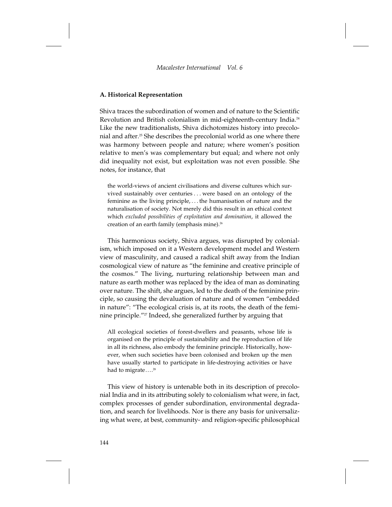# **A. Historical Representation**

Shiva traces the subordination of women and of nature to the Scientific Revolution and British colonialism in mid-eighteenth-century India.24 Like the new traditionalists, Shiva dichotomizes history into precolonial and after.<sup>25</sup> She describes the precolonial world as one where there was harmony between people and nature; where women's position relative to men's was complementary but equal; and where not only did inequality not exist, but exploitation was not even possible. She notes, for instance, that

the world-views of ancient civilisations and diverse cultures which survived sustainably over centuries... were based on an ontology of the feminine as the living principle,... the humanisation of nature and the naturalisation of society. Not merely did this result in an ethical context which *excluded possibilities of exploitation and domination*, it allowed the creation of an earth family (emphasis mine).<sup>26</sup>

This harmonious society, Shiva argues, was disrupted by colonialism, which imposed on it a Western development model and Western view of masculinity, and caused a radical shift away from the Indian cosmological view of nature as "the feminine and creative principle of the cosmos." The living, nurturing relationship between man and nature as earth mother was replaced by the idea of man as dominating over nature. The shift, she argues, led to the death of the feminine principle, so causing the devaluation of nature and of women "embedded in nature": "The ecological crisis is, at its roots, the death of the feminine principle."<sup>27</sup> Indeed, she generalized further by arguing that

All ecological societies of forest-dwellers and peasants, whose life is organised on the principle of sustainability and the reproduction of life in all its richness, also embody the feminine principle. Historically, however, when such societies have been colonised and broken up the men have usually started to participate in life-destroying activities or have had to migrate....<sup>28</sup>

This view of history is untenable both in its description of precolonial India and in its attributing solely to colonialism what were, in fact, complex processes of gender subordination, environmental degradation, and search for livelihoods. Nor is there any basis for universalizing what were, at best, community- and religion-specific philosophical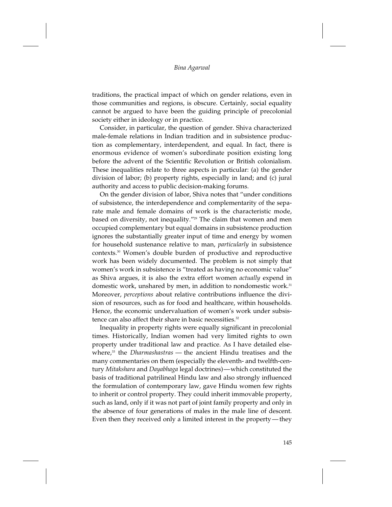traditions, the practical impact of which on gender relations, even in those communities and regions, is obscure. Certainly, social equality cannot be argued to have been the guiding principle of precolonial society either in ideology or in practice.

Consider, in particular, the question of gender. Shiva characterized male-female relations in Indian tradition and in subsistence production as complementary, interdependent, and equal. In fact, there is enormous evidence of women's subordinate position existing long before the advent of the Scientific Revolution or British colonialism. These inequalities relate to three aspects in particular: (a) the gender division of labor; (b) property rights, especially in land; and (c) jural authority and access to public decision-making forums.

On the gender division of labor, Shiva notes that "under conditions of subsistence, the interdependence and complementarity of the separate male and female domains of work is the characteristic mode, based on diversity, not inequality."29 The claim that women and men occupied complementary but equal domains in subsistence production ignores the substantially greater input of time and energy by women for household sustenance relative to man, *particularly* in subsistence contexts.30 Women's double burden of productive and reproductive work has been widely documented. The problem is not simply that women's work in subsistence is "treated as having no economic value" as Shiva argues, it is also the extra effort women *actually* expend in domestic work, unshared by men, in addition to nondomestic work.<sup>31</sup> Moreover, *perceptions* about relative contributions influence the division of resources, such as for food and healthcare, within households. Hence, the economic undervaluation of women's work under subsistence can also affect their share in basic necessities.<sup>32</sup>

Inequality in property rights were equally significant in precolonial times. Historically, Indian women had very limited rights to own property under traditional law and practice. As I have detailed elsewhere,<sup>33</sup> the *Dharmashastras* — the ancient Hindu treatises and the many commentaries on them (especially the eleventh- and twelfth-century *Mitakshara* and *Dayabhaga* legal doctrines)—which constituted the basis of traditional patrilineal Hindu law and also strongly influenced the formulation of contemporary law, gave Hindu women few rights to inherit or control property. They could inherit immovable property, such as land, only if it was not part of joint family property and only in the absence of four generations of males in the male line of descent. Even then they received only a limited interest in the property — they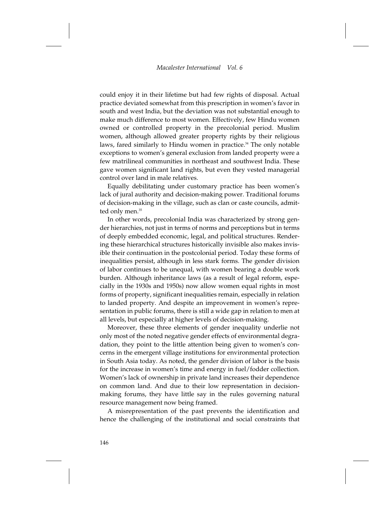could enjoy it in their lifetime but had few rights of disposal. Actual practice deviated somewhat from this prescription in women's favor in south and west India, but the deviation was not substantial enough to make much difference to most women. Effectively, few Hindu women owned or controlled property in the precolonial period. Muslim women, although allowed greater property rights by their religious laws, fared similarly to Hindu women in practice.<sup>34</sup> The only notable exceptions to women's general exclusion from landed property were a few matrilineal communities in northeast and southwest India. These gave women significant land rights, but even they vested managerial control over land in male relatives.

Equally debilitating under customary practice has been women's lack of jural authority and decision-making power. Traditional forums of decision-making in the village, such as clan or caste councils, admitted only men.<sup>35</sup>

In other words, precolonial India was characterized by strong gender hierarchies, not just in terms of norms and perceptions but in terms of deeply embedded economic, legal, and political structures. Rendering these hierarchical structures historically invisible also makes invisible their continuation in the postcolonial period. Today these forms of inequalities persist, although in less stark forms. The gender division of labor continues to be unequal, with women bearing a double work burden. Although inheritance laws (as a result of legal reform, especially in the 1930s and 1950s) now allow women equal rights in most forms of property, significant inequalities remain, especially in relation to landed property. And despite an improvement in women's representation in public forums, there is still a wide gap in relation to men at all levels, but especially at higher levels of decision-making.

Moreover, these three elements of gender inequality underlie not only most of the noted negative gender effects of environmental degradation, they point to the little attention being given to women's concerns in the emergent village institutions for environmental protection in South Asia today. As noted, the gender division of labor is the basis for the increase in women's time and energy in fuel/fodder collection. Women's lack of ownership in private land increases their dependence on common land. And due to their low representation in decisionmaking forums, they have little say in the rules governing natural resource management now being framed.

A misrepresentation of the past prevents the identification and hence the challenging of the institutional and social constraints that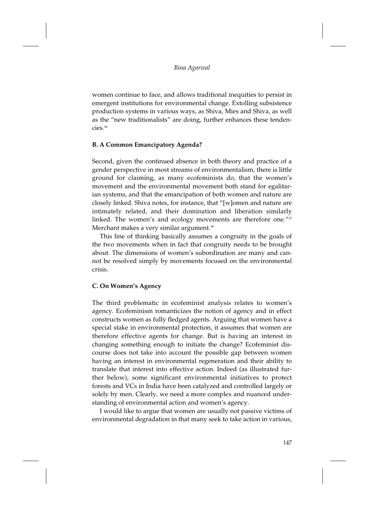women continue to face, and allows traditional inequities to persist in emergent institutions for environmental change. Extolling subsistence production systems in various ways, as Shiva, Mies and Shiva, as well as the "new traditionalists" are doing, further enhances these tendencies.36

# **B. A Common Emancipatory Agenda?**

Second, given the continued absence in both theory and practice of a gender perspective in most streams of environmentalism, there is little ground for claiming, as many ecofeminists do, that the women's movement and the environmental movement both stand for egalitarian systems, and that the emancipation of both women and nature are closely linked. Shiva notes, for instance, that "[w]omen and nature are intimately related, and their domination and liberation similarly linked. The women's and ecology movements are therefore one."37 Merchant makes a very similar argument.<sup>38</sup>

This line of thinking basically assumes a congruity in the goals of the two movements when in fact that congruity needs to be brought about. The dimensions of women's subordination are many and cannot be resolved simply by movements focused on the environmental crisis.

# **C. On Women's Agency**

The third problematic in ecofeminist analysis relates to women's agency. Ecofeminism romanticizes the notion of agency and in effect constructs women as fully fledged agents. Arguing that women have a special stake in environmental protection, it assumes that women are therefore effective agents for change. But is having an interest in changing something enough to initiate the change? Ecofeminist discourse does not take into account the possible gap between women having an interest in environmental regeneration and their ability to translate that interest into effective action. Indeed (as illustrated further below), some significant environmental initiatives to protect forests and VCs in India have been catalyzed and controlled largely or solely by men. Clearly, we need a more complex and nuanced understanding of environmental action and women's agency.

I would like to argue that women are usually not passive victims of environmental degradation in that many seek to take action in various,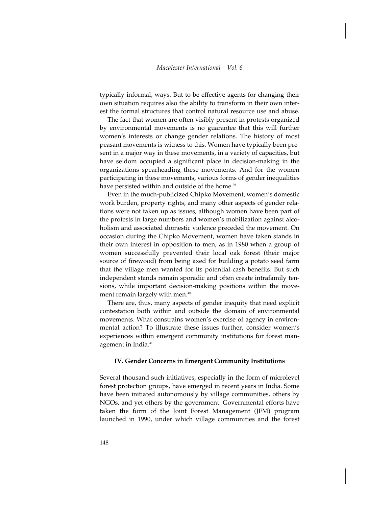typically informal, ways. But to be effective agents for changing their own situation requires also the ability to transform in their own interest the formal structures that control natural resource use and abuse.

The fact that women are often visibly present in protests organized by environmental movements is no guarantee that this will further women's interests or change gender relations. The history of most peasant movements is witness to this. Women have typically been present in a major way in these movements, in a variety of capacities, but have seldom occupied a significant place in decision-making in the organizations spearheading these movements. And for the women participating in these movements, various forms of gender inequalities have persisted within and outside of the home.<sup>39</sup>

Even in the much-publicized Chipko Movement, women's domestic work burden, property rights, and many other aspects of gender relations were not taken up as issues, although women have been part of the protests in large numbers and women's mobilization against alcoholism and associated domestic violence preceded the movement. On occasion during the Chipko Movement, women have taken stands in their own interest in opposition to men, as in 1980 when a group of women successfully prevented their local oak forest (their major source of firewood) from being axed for building a potato seed farm that the village men wanted for its potential cash benefits. But such independent stands remain sporadic and often create intrafamily tensions, while important decision-making positions within the movement remain largely with men.<sup>40</sup>

There are, thus, many aspects of gender inequity that need explicit contestation both within and outside the domain of environmental movements. What constrains women's exercise of agency in environmental action? To illustrate these issues further, consider women's experiences within emergent community institutions for forest management in India.<sup>41</sup>

## **IV. Gender Concerns in Emergent Community Institutions**

Several thousand such initiatives, especially in the form of microlevel forest protection groups, have emerged in recent years in India. Some have been initiated autonomously by village communities, others by NGOs, and yet others by the government. Governmental efforts have taken the form of the Joint Forest Management (JFM) program launched in 1990, under which village communities and the forest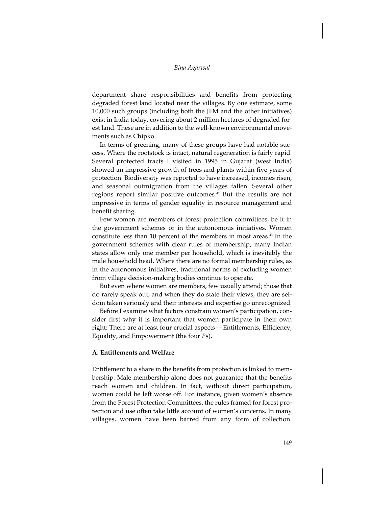#### *Bina Agarwal*

department share responsibilities and benefits from protecting degraded forest land located near the villages. By one estimate, some 10,000 such groups (including both the JFM and the other initiatives) exist in India today, covering about 2 million hectares of degraded forest land. These are in addition to the well-known environmental movements such as Chipko.

In terms of greening, many of these groups have had notable success. Where the rootstock is intact, natural regeneration is fairly rapid. Several protected tracts I visited in 1995 in Gujarat (west India) showed an impressive growth of trees and plants within five years of protection. Biodiversity was reported to have increased, incomes risen, and seasonal outmigration from the villages fallen. Several other regions report similar positive outcomes.42 But the results are not impressive in terms of gender equality in resource management and benefit sharing.

Few women are members of forest protection committees, be it in the government schemes or in the autonomous initiatives. Women constitute less than 10 percent of the members in most areas.<sup>43</sup> In the government schemes with clear rules of membership, many Indian states allow only one member per household, which is inevitably the male household head. Where there are no formal membership rules, as in the autonomous initiatives, traditional norms of excluding women from village decision-making bodies continue to operate.

But even where women are members, few usually attend; those that do rarely speak out, and when they do state their views, they are seldom taken seriously and their interests and expertise go unrecognized.

Before I examine what factors constrain women's participation, consider first why it is important that women participate in their own right: There are at least four crucial aspects — Entitlements, Efficiency, Equality, and Empowerment (the four *E*s).

#### **A. Entitlements and Welfare**

Entitlement to a share in the benefits from protection is linked to membership. Male membership alone does not guarantee that the benefits reach women and children. In fact, without direct participation, women could be left worse off. For instance, given women's absence from the Forest Protection Committees, the rules framed for forest protection and use often take little account of women's concerns. In many villages, women have been barred from any form of collection.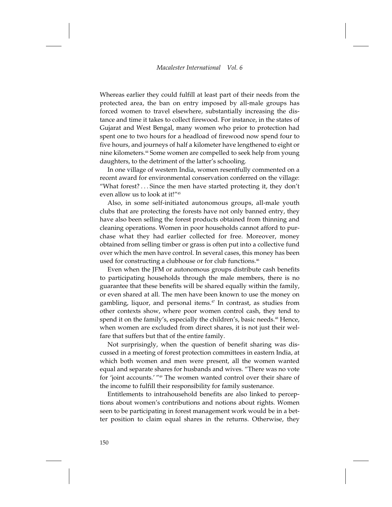Whereas earlier they could fulfill at least part of their needs from the protected area, the ban on entry imposed by all-male groups has forced women to travel elsewhere, substantially increasing the distance and time it takes to collect firewood. For instance, in the states of Gujarat and West Bengal, many women who prior to protection had spent one to two hours for a headload of firewood now spend four to five hours, and journeys of half a kilometer have lengthened to eight or nine kilometers.44 Some women are compelled to seek help from young daughters, to the detriment of the latter's schooling.

In one village of western India, women resentfully commented on a recent award for environmental conservation conferred on the village: "What forest?... Since the men have started protecting it, they don't even allow us to look at it!"45

Also, in some self-initiated autonomous groups, all-male youth clubs that are protecting the forests have not only banned entry, they have also been selling the forest products obtained from thinning and cleaning operations. Women in poor households cannot afford to purchase what they had earlier collected for free. Moreover, money obtained from selling timber or grass is often put into a collective fund over which the men have control. In several cases, this money has been used for constructing a clubhouse or for club functions.<sup>46</sup>

Even when the JFM or autonomous groups distribute cash benefits to participating households through the male members, there is no guarantee that these benefits will be shared equally within the family, or even shared at all. The men have been known to use the money on gambling, liquor, and personal items.<sup>47</sup> In contrast, as studies from other contexts show, where poor women control cash, they tend to spend it on the family's, especially the children's, basic needs.<sup>48</sup> Hence, when women are excluded from direct shares, it is not just their welfare that suffers but that of the entire family.

Not surprisingly, when the question of benefit sharing was discussed in a meeting of forest protection committees in eastern India, at which both women and men were present, all the women wanted equal and separate shares for husbands and wives. "There was no vote for 'joint accounts.' "49 The women wanted control over their share of the income to fulfill their responsibility for family sustenance.

Entitlements to intrahousehold benefits are also linked to perceptions about women's contributions and notions about rights. Women seen to be participating in forest management work would be in a better position to claim equal shares in the returns. Otherwise, they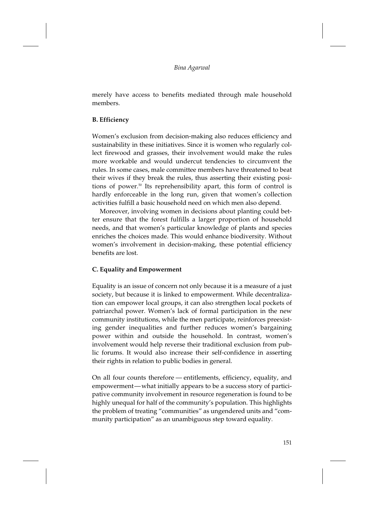merely have access to benefits mediated through male household members.

# **B. Efficiency**

Women's exclusion from decision-making also reduces efficiency and sustainability in these initiatives. Since it is women who regularly collect firewood and grasses, their involvement would make the rules more workable and would undercut tendencies to circumvent the rules. In some cases, male committee members have threatened to beat their wives if they break the rules, thus asserting their existing positions of power.<sup>50</sup> Its reprehensibility apart, this form of control is hardly enforceable in the long run, given that women's collection activities fulfill a basic household need on which men also depend.

Moreover, involving women in decisions about planting could better ensure that the forest fulfills a larger proportion of household needs, and that women's particular knowledge of plants and species enriches the choices made. This would enhance biodiversity. Without women's involvement in decision-making, these potential efficiency benefits are lost.

# **C. Equality and Empowerment**

Equality is an issue of concern not only because it is a measure of a just society, but because it is linked to empowerment. While decentralization can empower local groups, it can also strengthen local pockets of patriarchal power. Women's lack of formal participation in the new community institutions, while the men participate, reinforces preexisting gender inequalities and further reduces women's bargaining power within and outside the household. In contrast, women's involvement would help reverse their traditional exclusion from public forums. It would also increase their self-confidence in asserting their rights in relation to public bodies in general.

On all four counts therefore — entitlements, efficiency, equality, and empowerment—what initially appears to be a success story of participative community involvement in resource regeneration is found to be highly unequal for half of the community's population. This highlights the problem of treating "communities" as ungendered units and "community participation" as an unambiguous step toward equality.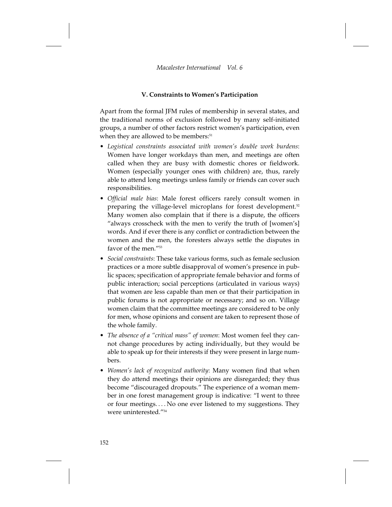# **V. Constraints to Women's Participation**

Apart from the formal JFM rules of membership in several states, and the traditional norms of exclusion followed by many self-initiated groups, a number of other factors restrict women's participation, even when they are allowed to be members:<sup>51</sup>

- *Logistical constraints associated with women's double work burdens*: Women have longer workdays than men, and meetings are often called when they are busy with domestic chores or fieldwork. Women (especially younger ones with children) are, thus, rarely able to attend long meetings unless family or friends can cover such responsibilities.
- *Official male bias*: Male forest officers rarely consult women in preparing the village-level microplans for forest development.<sup>52</sup> Many women also complain that if there is a dispute, the officers "always crosscheck with the men to verify the truth of [women's] words. And if ever there is any conflict or contradiction between the women and the men, the foresters always settle the disputes in favor of the men."<sup>53</sup>
- *Social constraints*: These take various forms, such as female seclusion practices or a more subtle disapproval of women's presence in public spaces; specification of appropriate female behavior and forms of public interaction; social perceptions (articulated in various ways) that women are less capable than men or that their participation in public forums is not appropriate or necessary; and so on. Village women claim that the committee meetings are considered to be only for men, whose opinions and consent are taken to represent those of the whole family.
- *The absence of a "critical mass" of women*: Most women feel they cannot change procedures by acting individually, but they would be able to speak up for their interests if they were present in large numbers.
- *Women's lack of recognized authority*: Many women find that when they do attend meetings their opinions are disregarded; they thus become "discouraged dropouts." The experience of a woman member in one forest management group is indicative: "I went to three or four meetings. . . . No one ever listened to my suggestions. They were uninterested."54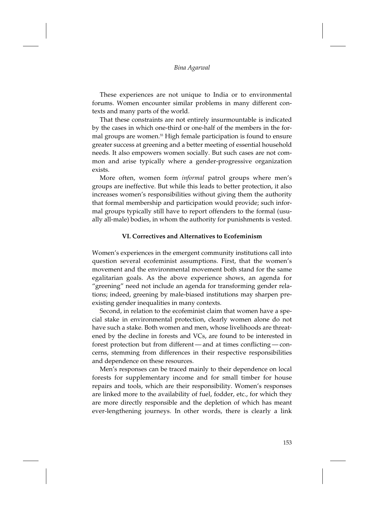These experiences are not unique to India or to environmental forums. Women encounter similar problems in many different contexts and many parts of the world.

That these constraints are not entirely insurmountable is indicated by the cases in which one-third or one-half of the members in the formal groups are women.<sup>55</sup> High female participation is found to ensure greater success at greening and a better meeting of essential household needs. It also empowers women socially. But such cases are not common and arise typically where a gender-progressive organization exists.

More often, women form *informal* patrol groups where men's groups are ineffective. But while this leads to better protection, it also increases women's responsibilities without giving them the authority that formal membership and participation would provide; such informal groups typically still have to report offenders to the formal (usually all-male) bodies, in whom the authority for punishments is vested.

#### **VI. Correctives and Alternatives to Ecofeminism**

Women's experiences in the emergent community institutions call into question several ecofeminist assumptions. First, that the women's movement and the environmental movement both stand for the same egalitarian goals. As the above experience shows, an agenda for "greening" need not include an agenda for transforming gender relations; indeed, greening by male-biased institutions may sharpen preexisting gender inequalities in many contexts.

Second, in relation to the ecofeminist claim that women have a special stake in environmental protection, clearly women alone do not have such a stake. Both women and men, whose livelihoods are threatened by the decline in forests and VCs, are found to be interested in forest protection but from different — and at times conflicting — concerns, stemming from differences in their respective responsibilities and dependence on these resources.

Men's responses can be traced mainly to their dependence on local forests for supplementary income and for small timber for house repairs and tools, which are their responsibility. Women's responses are linked more to the availability of fuel, fodder, etc., for which they are more directly responsible and the depletion of which has meant ever-lengthening journeys. In other words, there is clearly a link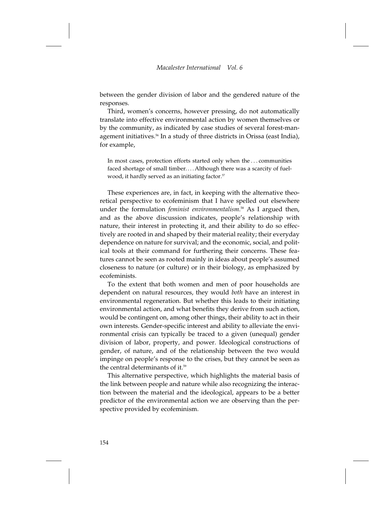between the gender division of labor and the gendered nature of the responses.

Third, women's concerns, however pressing, do not automatically translate into effective environmental action by women themselves or by the community, as indicated by case studies of several forest-management initiatives.<sup>56</sup> In a study of three districts in Orissa (east India), for example,

In most cases, protection efforts started only when the... communities faced shortage of small timber....Although there was a scarcity of fuelwood, it hardly served as an initiating factor.<sup>57</sup>

These experiences are, in fact, in keeping with the alternative theoretical perspective to ecofeminism that I have spelled out elsewhere under the formulation *feminist environmentalism*. <sup>58</sup> As I argued then, and as the above discussion indicates, people's relationship with nature, their interest in protecting it, and their ability to do so effectively are rooted in and shaped by their material reality; their everyday dependence on nature for survival; and the economic, social, and political tools at their command for furthering their concerns. These features cannot be seen as rooted mainly in ideas about people's assumed closeness to nature (or culture) or in their biology, as emphasized by ecofeminists.

To the extent that both women and men of poor households are dependent on natural resources, they would *both* have an interest in environmental regeneration. But whether this leads to their initiating environmental action, and what benefits they derive from such action, would be contingent on, among other things, their ability to act in their own interests. Gender-specific interest and ability to alleviate the environmental crisis can typically be traced to a given (unequal) gender division of labor, property, and power. Ideological constructions of gender, of nature, and of the relationship between the two would impinge on people's response to the crises, but they cannot be seen as the central determinants of it.<sup>59</sup>

This alternative perspective, which highlights the material basis of the link between people and nature while also recognizing the interaction between the material and the ideological, appears to be a better predictor of the environmental action we are observing than the perspective provided by ecofeminism.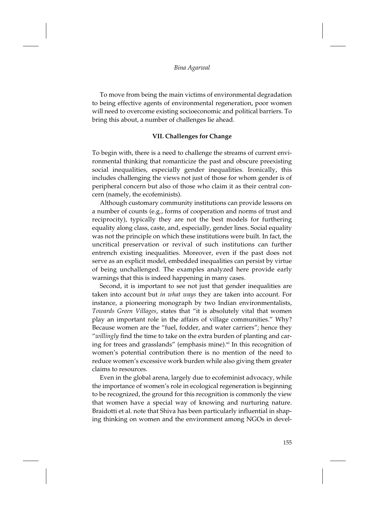To move from being the main victims of environmental degradation to being effective agents of environmental regeneration, poor women will need to overcome existing socioeconomic and political barriers. To bring this about, a number of challenges lie ahead.

#### **VII. Challenges for Change**

To begin with, there is a need to challenge the streams of current environmental thinking that romanticize the past and obscure preexisting social inequalities, especially gender inequalities. Ironically, this includes challenging the views not just of those for whom gender is of peripheral concern but also of those who claim it as their central concern (namely, the ecofeminists).

Although customary community institutions can provide lessons on a number of counts (e.g., forms of cooperation and norms of trust and reciprocity), typically they are not the best models for furthering equality along class, caste, and, especially, gender lines. Social equality was not the principle on which these institutions were built. In fact, the uncritical preservation or revival of such institutions can further entrench existing inequalities. Moreover, even if the past does not serve as an explicit model, embedded inequalities can persist by virtue of being unchallenged. The examples analyzed here provide early warnings that this is indeed happening in many cases.

Second, it is important to see not just that gender inequalities are taken into account but *in what ways* they are taken into account. For instance, a pioneering monograph by two Indian environmentalists, *Towards Green Villages*, states that "it is absolutely vital that women play an important role in the affairs of village communities." Why? Because women are the "fuel, fodder, and water carriers"; hence they "*willingly* find the time to take on the extra burden of planting and caring for trees and grasslands" (emphasis mine).<sup>60</sup> In this recognition of women's potential contribution there is no mention of the need to reduce women's excessive work burden while also giving them greater claims to resources.

Even in the global arena, largely due to ecofeminist advocacy, while the importance of women's role in ecological regeneration is beginning to be recognized, the ground for this recognition is commonly the view that women have a special way of knowing and nurturing nature. Braidotti et al. note that Shiva has been particularly influential in shaping thinking on women and the environment among NGOs in devel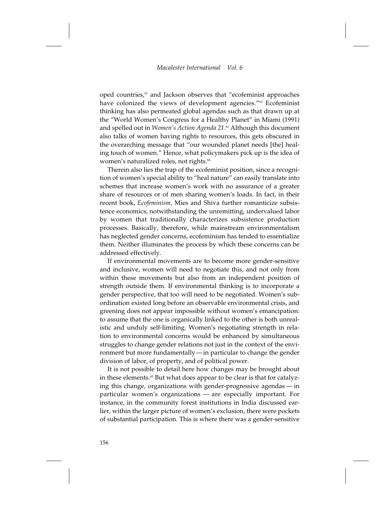oped countries,<sup>61</sup> and Jackson observes that "ecofeminist approaches have colonized the views of development agencies."<sup>62</sup> Ecofeminist thinking has also permeated global agendas such as that drawn up at the "World Women's Congress for a Healthy Planet" in Miami (1991) and spelled out in *Women's Action Agenda 21*. <sup>63</sup> Although this document also talks of women having rights to resources, this gets obscured in the overarching message that "our wounded planet needs [the] healing touch of women." Hence, what policymakers pick up is the idea of women's naturalized roles, not rights.<sup>64</sup>

Therein also lies the trap of the ecofeminist position, since a recognition of women's special ability to "heal nature" can easily translate into schemes that increase women's work with no assurance of a greater share of resources or of men sharing women's loads. In fact, in their recent book, *Ecofeminism*, Mies and Shiva further romanticize subsistence economics, notwithstanding the unremitting, undervalued labor by women that traditionally characterizes subsistence production processes. Basically, therefore, while mainstream environmentalism has neglected gender concerns, ecofeminism has tended to essentialize them. Neither illuminates the process by which these concerns can be addressed effectively.

If environmental movements are to become more gender-sensitive and inclusive, women will need to negotiate this, and not only from within these movements but also from an independent position of strength outside them. If environmental thinking is to incorporate a gender perspective, that too will need to be negotiated. Women's subordination existed long before an observable environmental crisis, and greening does not appear impossible without women's emancipation: to assume that the one is organically linked to the other is both unrealistic and unduly self-limiting. Women's negotiating strength in relation to environmental concerns would be enhanced by simultaneous struggles to change gender relations not just in the context of the environment but more fundamentally—in particular to change the gender division of labor, of property, and of political power.

It is not possible to detail here how changes may be brought about in these elements.<sup>65</sup> But what does appear to be clear is that for catalyzing this change, organizations with gender-progressive agendas — in particular women's organizations — are especially important. For instance, in the community forest institutions in India discussed earlier, within the larger picture of women's exclusion, there were pockets of substantial participation. This is where there was a gender-sensitive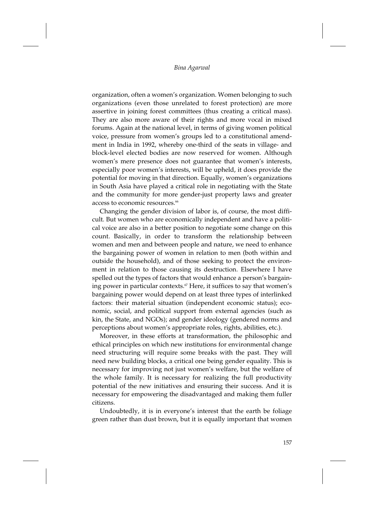organization, often a women's organization. Women belonging to such organizations (even those unrelated to forest protection) are more assertive in joining forest committees (thus creating a critical mass). They are also more aware of their rights and more vocal in mixed forums. Again at the national level, in terms of giving women political voice, pressure from women's groups led to a constitutional amendment in India in 1992, whereby one-third of the seats in village- and block-level elected bodies are now reserved for women. Although women's mere presence does not guarantee that women's interests, especially poor women's interests, will be upheld, it does provide the potential for moving in that direction. Equally, women's organizations in South Asia have played a critical role in negotiating with the State and the community for more gender-just property laws and greater access to economic resources<sup>66</sup>

Changing the gender division of labor is, of course, the most difficult. But women who are economically independent and have a political voice are also in a better position to negotiate some change on this count. Basically, in order to transform the relationship between women and men and between people and nature, we need to enhance the bargaining power of women in relation to men (both within and outside the household), and of those seeking to protect the environment in relation to those causing its destruction. Elsewhere I have spelled out the types of factors that would enhance a person's bargaining power in particular contexts.<sup>67</sup> Here, it suffices to say that women's bargaining power would depend on at least three types of interlinked factors: their material situation (independent economic status); economic, social, and political support from external agencies (such as kin, the State, and NGOs); and gender ideology (gendered norms and perceptions about women's appropriate roles, rights, abilities, etc.).

Moreover, in these efforts at transformation, the philosophic and ethical principles on which new institutions for environmental change need structuring will require some breaks with the past. They will need new building blocks, a critical one being gender equality. This is necessary for improving not just women's welfare, but the welfare of the whole family. It is necessary for realizing the full productivity potential of the new initiatives and ensuring their success. And it is necessary for empowering the disadvantaged and making them fuller citizens.

Undoubtedly, it is in everyone's interest that the earth be foliage green rather than dust brown, but it is equally important that women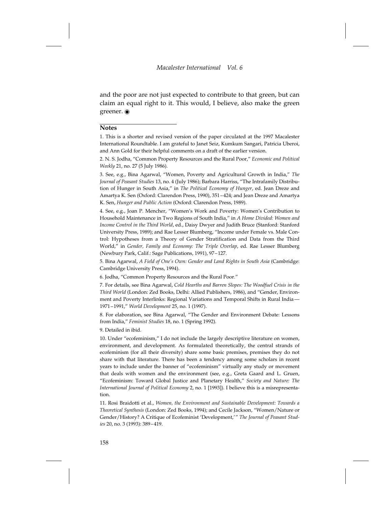and the poor are not just expected to contribute to that green, but can claim an equal right to it. This would, I believe, also make the green greener.  $\odot$ 

#### **Notes**

1. This is a shorter and revised version of the paper circulated at the 1997 Macalester International Roundtable. I am grateful to Janet Seiz, Kumkum Sangari, Patricia Uberoi, and Ann Gold for their helpful comments on a draft of the earlier version.

2. N. S. Jodha, "Common Property Resources and the Rural Poor," *Economic and Political Weekly* 21, no. 27 (5 July 1986).

3. See, e.g., Bina Agarwal, "Women, Poverty and Agricultural Growth in India," *The Journal of Peasant Studies* 13, no. 4 (July 1986); Barbara Harriss, "The Intrafamily Distribution of Hunger in South Asia," in *The Political Economy of Hunger*, ed. Jean Dreze and Amartya K. Sen (Oxford: Clarendon Press, 1990), 351–424; and Jean Dreze and Amartya K. Sen, *Hunger and Public Action* (Oxford: Clarendon Press, 1989).

4. See, e.g., Joan P. Mencher, "Women's Work and Poverty: Women's Contribution to Household Maintenance in Two Regions of South India," in *A Home Divided: Women and Income Control in the Third World*, ed., Daisy Dwyer and Judith Bruce (Stanford: Stanford University Press, 1989); and Rae Lesser Blumberg, "Income under Female vs. Male Control: Hypotheses from a Theory of Gender Stratification and Data from the Third World," in *Gender, Family and Economy: The Triple Overlap*, ed. Rae Lesser Blumberg (Newbury Park, Calif.: Sage Publications, 1991), 97–127.

5. Bina Agarwal, *A Field of One's Own: Gender and Land Rights in South Asia* (Cambridge: Cambridge University Press, 1994).

6. Jodha, "Common Property Resources and the Rural Poor."

7. For details, see Bina Agarwal, *Cold Hearths and Barren Slopes: The Woodfuel Crisis in the Third World* (London: Zed Books, Delhi: Allied Publishers, 1986), and "Gender, Environment and Poverty Interlinks: Regional Variations and Temporal Shifts in Rural India — 1971–1991," *World Development* 25, no. 1 (1997).

8. For elaboration, see Bina Agarwal, "The Gender and Environment Debate: Lessons from India," *Feminist Studies* 18, no. 1 (Spring 1992).

9. Detailed in ibid.

10. Under "ecofeminism," I do not include the largely descriptive literature on women, environment, and development. As formulated theoretically, the central strands of ecofeminism (for all their diversity) share some basic premises, premises they do not share with that literature. There has been a tendency among some scholars in recent years to include under the banner of "ecofeminism" virtually any study or movement that deals with women and the environment (see, e.g., Greta Gaard and L. Gruen, "Ecofeminism: Toward Global Justice and Planetary Health," *Society and Nature: The International Journal of Political Economy* 2, no. 1 [1993]). I believe this is a misrepresentation.

11. Rosi Braidotti et al., *Women, the Environment and Sustainable Development: Towards a Theoretical Synthesis* (London: Zed Books, 1994); and Cecile Jackson, "Women/Nature or Gender/History? A Critique of Ecofeminist 'Development,'" *The Journal of Peasant Studies* 20, no. 3 (1993): 389–419.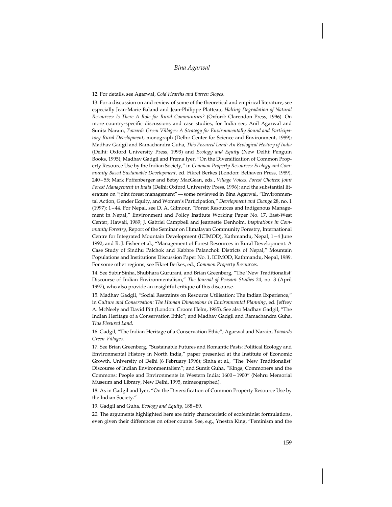#### *Bina Agarwal*

#### 12. For details, see Agarwal, *Cold Hearths and Barren Slopes*.

13. For a discussion on and review of some of the theoretical and empirical literature, see especially Jean-Marie Baland and Jean-Philippe Platteau, *Halting Degradation of Natural Resources: Is There A Role for Rural Communities?* (Oxford: Clarendon Press, 1996). On more country-specific discussions and case studies, for India see, Anil Agarwal and Sunita Narain, *Towards Green Villages: A Strategy for Environmentally Sound and Participatory Rural Development*, monograph (Delhi: Center for Science and Environment, 1989); Madhav Gadgil and Ramachandra Guha, *This Fissured Land: An Ecological History of India* (Delhi: Oxford University Press, 1993) and *Ecology and Equity* (New Delhi: Penguin Books, 1995); Madhav Gadgil and Prema Iyer, "On the Diversification of Common Property Resource Use by the Indian Society," in *Common Property Resources: Ecology and Community Based Sustainable Development*, ed. Fikret Berkes (London: Belhaven Press, 1989), 240 – 55; Mark Poffenberger and Betsy MacGean, eds., *Village Voices, Forest Choices: Joint Forest Management in India* (Delhi: Oxford University Press, 1996); and the substantial literature on "joint forest management"—some reviewed in Bina Agarwal, "Environmental Action, Gender Equity, and Women's Participation," *Development and Change* 28, no. 1 (1997): 1 – 44. For Nepal, see D. A. Gilmour, "Forest Resources and Indigenous Management in Nepal," Environment and Policy Institute Working Paper No. 17, East-West Center, Hawaii, 1989; J. Gabriel Campbell and Jeannette Denholm, *Inspirations in Community Forestry*, Report of the Seminar on Himalayan Community Forestry, International Centre for Integrated Mountain Development (ICIMOD), Kathmandu, Nepal, 1 – 4 June 1992; and R. J. Fisher et al., "Management of Forest Resources in Rural Development: A Case Study of Sindhu Palchok and Kabhre Palanchok Districts of Nepal," Mountain Populations and Institutions Discussion Paper No. 1, ICIMOD, Kathmandu, Nepal, 1989. For some other regions, see Fikret Berkes, ed., *Common Property Resources*.

14. See Subir Sinha, Shubhara Gururani, and Brian Greenberg, "The 'New Traditionalist' Discourse of Indian Environmentalism," *The Journal of Peasant Studies* 24, no. 3 (April 1997), who also provide an insightful critique of this discourse.

15. Madhav Gadgil, "Social Restraints on Resource Utilisation: The Indian Experience," in *Culture and Conservation: The Human Dimensions in Environmental Planning*, ed. Jeffrey A. McNeely and David Pitt (London: Croom Helm, 1985). See also Madhav Gadgil, "The Indian Heritage of a Conservation Ethic"; and Madhav Gadgil and Ramachandra Guha, *This Fissured Land*.

16. Gadgil, "The Indian Heritage of a Conservation Ethic"; Agarwal and Narain, *Towards Green Villages*.

17. See Brian Greenberg, "Sustainable Futures and Romantic Pasts: Political Ecology and Environmental History in North India," paper presented at the Institute of Economic Growth, University of Delhi (6 February 1996); Sinha et al., "The 'New Traditionalist' Discourse of Indian Environmentalism"; and Sumit Guha, "Kings, Commoners and the Commons: People and Environments in Western India: 1600 – 1900" (Nehru Memorial Museum and Library, New Delhi, 1995, mimeographed).

18. As in Gadgil and Iyer, "On the Diversification of Common Property Resource Use by the Indian Society."

19. Gadgil and Guha, *Ecology and Equity*, 188–89.

20. The arguments highlighted here are fairly characteristic of ecofeminist formulations, even given their differences on other counts. See, e.g., Ynestra King, "Feminism and the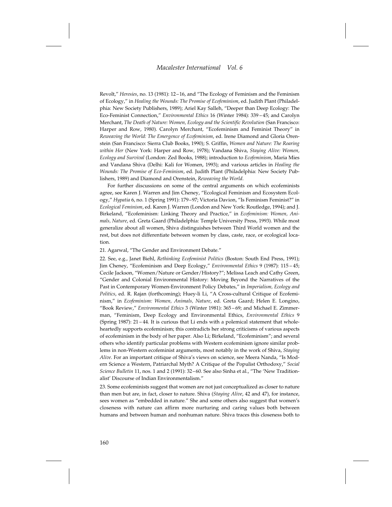Revolt," *Heresies*, no. 13 (1981): 12–16, and "The Ecology of Feminism and the Feminism of Ecology," in *Healing the Wounds: The Promise of Ecofeminism*, ed. Judith Plant (Philadelphia: New Society Publishers, 1989); Ariel Kay Salleh, "Deeper than Deep Ecology: The Eco-Feminist Connection," *Environmental Ethics* 16 (Winter 1984): 339 – 45; and Carolyn Merchant, *The Death of Nature: Women, Ecology and the Scientific Revolution* (San Francisco: Harper and Row, 1980). Carolyn Merchant, "Ecofeminism and Feminist Theory" in *Reweaving the World: The Emergence of Ecofeminism*, ed. Irene Diamond and Gloria Orenstein (San Francisco: Sierra Club Books, 1990); S. Griffin, *Women and Nature: The Roaring within Her* (New York: Harper and Row, 1978); Vandana Shiva, *Staying Alive: Women, Ecology and Survival* (London: Zed Books, 1988); introduction to *Ecofeminism*, Maria Mies and Vandana Shiva (Delhi: Kali for Women, 1993); and various articles in *Healing the Wounds: The Promise of Eco-Feminism*, ed. Judith Plant (Philadelphia: New Society Publishers, 1989) and Diamond and Orenstein, *Reweaving the World*.

For further discussions on some of the central arguments on which ecofeminists agree, see Karen J. Warren and Jim Cheney, "Ecological Feminism and Ecosystem Ecology," *Hypatia* 6, no. 1 (Spring 1991): 179–97; Victoria Davion, "Is Feminism Feminist?" in *Ecological Feminism*, ed. Karen J. Warren (London and New York: Routledge, 1994); and J. Birkeland, "Ecofeminism: Linking Theory and Practice," in *Ecofeminism: Women, Animals, Nature*, ed. Greta Gaard (Philadelphia: Temple University Press, 1993). While most generalize about all women, Shiva distinguishes between Third World women and the rest, but does not differentiate between women by class, caste, race, or ecological location.

#### 21. Agarwal, "The Gender and Environment Debate."

22. See, e.g., Janet Biehl, *Rethinking Ecofeminist Politics* (Boston: South End Press, 1991); Jim Cheney, "Ecofeminism and Deep Ecology," *Environmental Ethics* 9 (1987): 115 – 45; Cecile Jackson, "Women/Nature or Gender/History?"; Melissa Leach and Cathy Green, "Gender and Colonial Environmental History: Moving Beyond the Narratives of the Past in Contemporary Women-Environment Policy Debates," in *Imperialism, Ecology and Politics*, ed. R. Rajan (forthcoming); Huey-li Li, "A Cross-cultural Critique of Ecofeminism," in *Ecofeminism: Women, Animals, Nature*, ed. Greta Gaard; Helen E. Longino, "Book Review," *Environmental Ethics* 3 (Winter 1981): 365 – 69; and Michael E. Zimmerman, "Feminism, Deep Ecology and Environmental Ethics, *Environmental Ethics* 9 (Spring 1987): 21 – 44. It is curious that Li ends with a polemical statement that wholeheartedly supports ecofeminism; this contradicts her strong criticisms of various aspects of ecofeminism in the body of her paper. Also Li; Birkeland, "Ecofeminism"; and several others who identify particular problems with Western ecofeminism ignore similar problems in non-Western ecofeminist arguments, most notably in the work of Shiva, *Staying Alive*. For an important critique of Shiva's views on science, see Meera Nanda, "Is Modern Science a Western, Patriarchal Myth? A Critique of the Populist Orthodoxy," *Social Science Bulletin* 11, nos. 1 and 2 (1991): 32–60. See also Sinha et al., "The 'New Traditionalist' Discourse of Indian Environmentalism."

23. Some ecofeminists suggest that women are not just conceptualized as closer to nature than men but are, in fact, closer to nature. Shiva (*Staying Alive*, 42 and 47), for instance, sees women as "embedded in nature." She and some others also suggest that women's closeness with nature can affirm more nurturing and caring values both between humans and between human and nonhuman nature. Shiva traces this closeness both to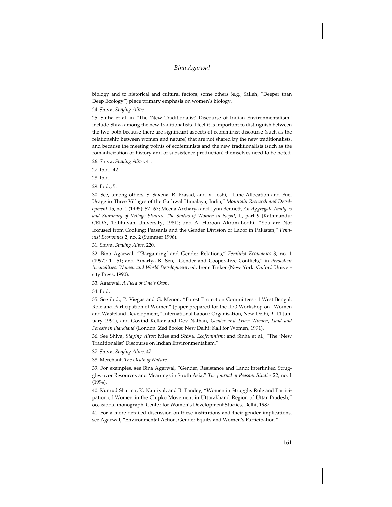biology and to historical and cultural factors; some others (e.g., Salleh, "Deeper than Deep Ecology") place primary emphasis on women's biology.

24. Shiva, *Staying Alive*.

25. Sinha et al. in "The 'New Traditionalist' Discourse of Indian Environmentalism" include Shiva among the new traditionalists. I feel it is important to distinguish between the two both because there are significant aspects of ecofeminist discourse (such as the relationship between women and nature) that are not shared by the new traditionalists, and because the meeting points of ecofeminists and the new traditionalists (such as the romanticization of history and of subsistence production) themselves need to be noted.

26. Shiva, *Staying Alive*, 41.

27. Ibid., 42.

28. Ibid.

29. Ibid., 5.

30. See, among others, S. Saxena, R. Prasad, and V. Joshi, "Time Allocation and Fuel Usage in Three Villages of the Garhwal Himalaya, India," *Mountain Research and Development* 15, no. 1 (1995): 57–67; Meena Archarya and Lynn Bennett, *An Aggregate Analysis and Summary of Village Studies: The Status of Women in Nepal*, II, part 9 (Kathmandu: CEDA, Tribhuvan University, 1981); and A. Haroon Akram-Lodhi, "You are Not Excused from Cooking: Peasants and the Gender Division of Labor in Pakistan," *Feminist Economics* 2, no. 2 (Summer 1996).

31. Shiva, *Staying Alive*, 220.

32. Bina Agarwal, "'Bargaining' and Gender Relations," *Feminist Economics* 3, no. 1 (1997): 1 – 51; and Amartya K. Sen, "Gender and Cooperative Conflicts," in *Persistent Inequalities: Women and World Development*, ed. Irene Tinker (New York: Oxford University Press, 1990).

33. Agarwal, *A Field of One's Own*.

34. Ibid.

35. See ibid.; P. Viegas and G. Menon, "Forest Protection Committees of West Bengal: Role and Participation of Women" (paper prepared for the ILO Workshop on "Women and Wasteland Development," International Labour Organisation, New Delhi, 9–11 January 1991), and Govind Kelkar and Dev Nathan, *Gender and Tribe: Women, Land and Forests in Jharkhand* (London: Zed Books; New Delhi: Kali for Women, 1991).

36. See Shiva, *Staying Alive*; Mies and Shiva, *Ecofeminism*; and Sinha et al., "The 'New Traditionalist' Discourse on Indian Environmentalism."

37. Shiva, *Staying Alive*, 47.

38. Merchant, *The Death of Nature*.

39. For examples, see Bina Agarwal, "Gender, Resistance and Land: Interlinked Struggles over Resources and Meanings in South Asia," *The Journal of Peasant Studies* 22, no. 1 (1994).

40. Kumud Sharma, K. Nautiyal, and B. Pandey, "Women in Struggle: Role and Participation of Women in the Chipko Movement in Uttarakhand Region of Uttar Pradesh," occasional monograph, Center for Women's Development Studies, Delhi, 1987.

41. For a more detailed discussion on these institutions and their gender implications, see Agarwal, "Environmental Action, Gender Equity and Women's Participation."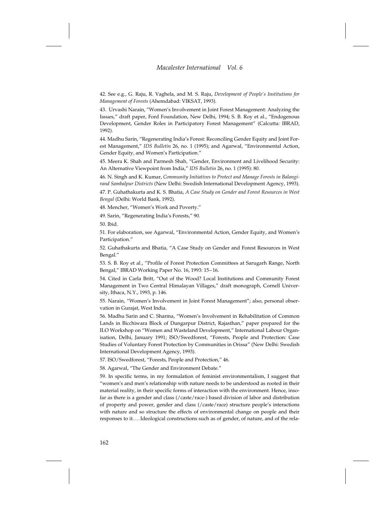42. See e.g., G. Raju, R. Vaghela, and M. S. Raju, *Development of People's Institutions for Management of Forests* (Ahemdabad: VIKSAT, 1993).

43. Urvashi Narain, "Women's Involvement in Joint Forest Management: Analyzing the Issues," draft paper, Ford Foundation, New Delhi, 1994; S. B. Roy et al., "Endogenous Development, Gender Roles in Participatory Forest Management" (Calcutta: IBRAD, 1992).

44. Madhu Sarin, "Regenerating India's Forest: Reconciling Gender Equity and Joint Forest Management," *IDS Bulletin* 26, no. 1 (1995); and Agarwal, "Environmental Action, Gender Equity, and Women's Participation."

45. Meera K. Shah and Parmesh Shah, "Gender, Environment and Livelihood Security: An Alternative Viewpoint from India," *IDS Bulletin* 26, no. 1 (1995): 80.

46. N. Singh and K. Kumar, *Community Initiatives to Protect and Manage Forests in Balangirand Sambalpur Districts* (New Delhi: Swedish International Development Agency, 1993).

47. P. Guhathakurta and K. S. Bhatia, *A Case Study on Gender and Forest Resources in West Bengal* (Delhi: World Bank, 1992).

48. Mencher, "Women's Work and Poverty."

49. Sarin, "Regenerating India's Forests," 90.

50. Ibid.

51. For elaboration, see Agarwal, "Environmental Action, Gender Equity, and Women's Participation."

52. Guhathakurta and Bhatia, "A Case Study on Gender and Forest Resources in West Bengal."

53. S. B. Roy et al., "Profile of Forest Protection Committees at Sarugarh Range, North Bengal," IBRAD Working Paper No. 16, 1993: 15–16.

54. Cited in Carla Britt, "Out of the Wood? Local Institutions and Community Forest Management in Two Central Himalayan Villages," draft monograph, Cornell University, Ithaca, N.Y., 1993, p. 146.

55. Narain, "Women's Involvement in Joint Forest Management"; also, personal observation in Gurajat, West India.

56. Madhu Sarin and C. Sharma, "Women's Involvement in Rehabilitation of Common Lands in Bicchiwara Block of Dungarpur District, Rajasthan," paper prepared for the ILO Workshop on "Women and Wasteland Development," International Labour Organisation, Delhi, January 1991; ISO/Swedforest, "Forests, People and Protection: Case Studies of Voluntary Forest Protection by Communities in Orissa" (New Delhi: Swedish International Development Agency, 1993).

57. ISO/Swedforest, "Forests, People and Protection," 46.

58. Agarwal, "The Gender and Environment Debate."

59. In specific terms, in my formulation of feminist environmentalism, I suggest that "women's and men's relationship with nature needs to be understood as rooted in their material reality, in their specific forms of interaction with the environment. Hence, insofar as there is a gender and class (/caste/race-) based division of labor and distribution of property and power, gender and class (/caste/race) structure people's interactions with nature and so structure the effects of environmental change on people and their responses to it....Ideological constructions such as of gender, of nature, and of the rela-